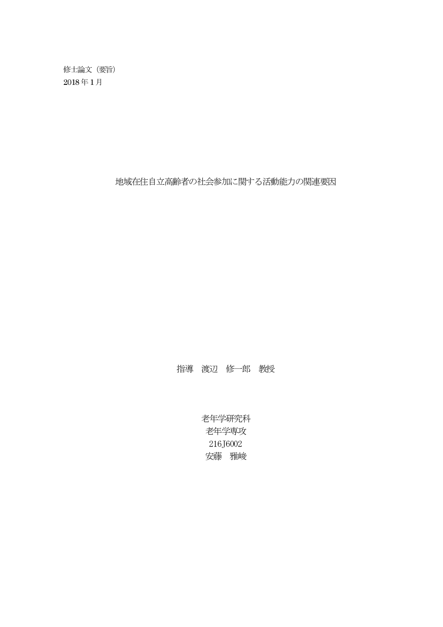修士論文(要旨) 2018 年1 月

地域在住自立高齢者の社会参加に関する活動能力の関連要因

指導 渡辺 修一郎 教授

老年学研究科 老年学専攻 216J6002 安藤 雅峻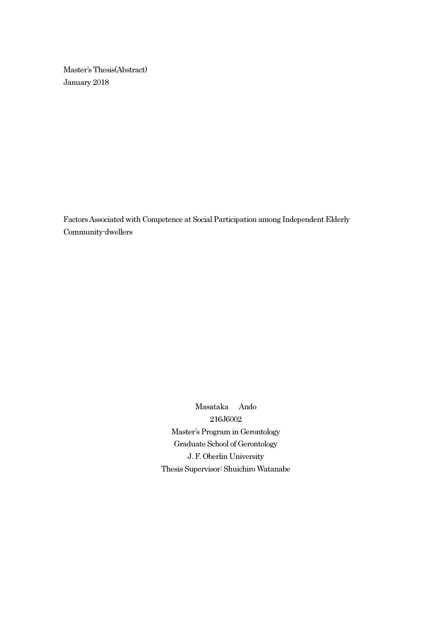Master's Thesis(Abstract) January 2018

Factors Associated with Competence at Social Participation among Independent Elderly Community-dwellers

> Masataka Ando 216J6002 Master's Program in Gerontology Graduate School of Gerontology J. F. Oberlin University Thesis Supervisor: Shuichiro Watanabe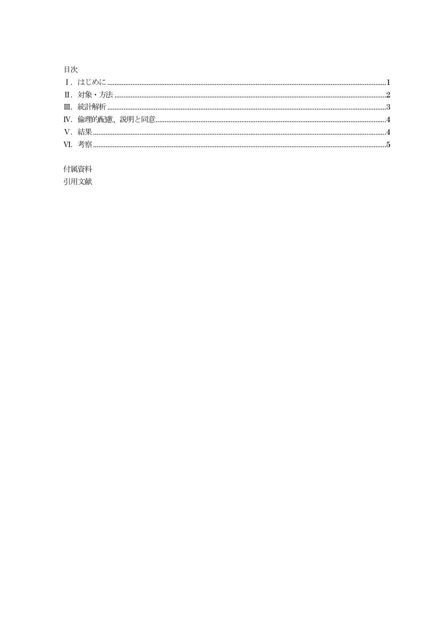## 目次

## 付属資料

引用文献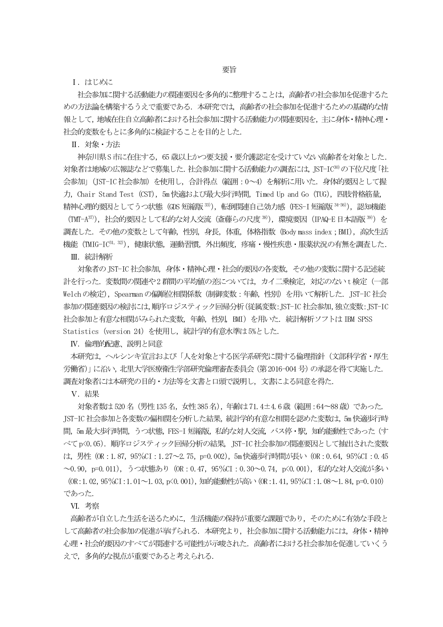Ⅰ.はじめに

 社会参加に関する活動能力の関連要因を多角的に整理することは,高齢者の社会参加を促進するた めの方法論を構築するうえで重要である. 本研究では、高齢者の社会参加を促進するための基礎的な情 報として,地域在住自立高齢者における社会参加に関する活動能力の関連要因を,主に身体・精神心理・ 社会的変数をもとに多角的に検証することを目的とした.

Ⅱ.対象・方法

 神奈川県 S 市に在住する,65 歳以上かつ要支援・要介護認定を受けていない高齢者を対象とした. 対象者は地域の広報誌などで募集した.社会参加に関する活動能力の調査には,JST-IC30)の下位尺度「社 会参加」(JST-IC 社会参加)を使用し,合計得点(範囲:0~4)を解析に用いた.身体的要因として握 力, Chair Stand Test (CST), 5m 快適および最大歩行時間, Timed Up and Go (TUG), 四肢骨格筋量, 精神心理的要因としてうつ状態 (GDS 短縮版 <sup>33</sup>), 転倒関連自己効力感 (FES-I 短縮版 <sup>34-36</sup>), 認知機能

(TMT-A<sup>37)</sup>),社会的要因として私的な対人交流(斎藤らの尺度<sup>38)</sup>),環境要因 (IPAQ-E 日本語版<sup>38)</sup>)を 調査した.その他の変数として年齢,性別,身長,体重,体格指数(Body mass index;BMI),高次生活 機能 (TMIG-IC31, 32), 健康状態, 運動習慣, 外出頻度, 疼痛・慢性疾患・服薬状況の有無を調査した.

Ⅲ.統計解析

 対象者の JST-IC 社会参加,身体・精神心理・社会的要因の各変数,その他の変数に関する記述統 計を行った. 変数間の関連や2群間の平均値の差については、カイ二乗検定,対応のない t 検定 (一部 Welch の検定),Spearman の偏順位相関係数(制御変数:年齢,性別)を用いて解析した.JST-IC 社会 参加の関連要因の検討には,順序ロジスティック回帰分析(従属変数:JST-IC 社会参加,独立変数:JST-IC 社会参加と有意な相関がみられた変数, 年齢, 性別, BMI) を用いた. 統計解析ソフトは IBM SPSS Statistics(version 24)を使用し,統計学的有意水準は 5%とした.

Ⅳ.倫理的配慮、説明と同意

本研究は,ヘルシンキ宣言および「人を対象とする医学系研究に関する倫理指針(文部科学省・厚生 労働省)」に沿い,北里大学医療衛生学部研究倫理審査委員会(第 2016-004 号)の承認を得て実施した. 調査対象者には本研究の目的・方法等を文書と口頭で説明し,文書による同意を得た.

Ⅴ.結果

対象者数は 520 名 (男性 135 名, 女性 385 名), 年齢は 71.4±4.6 歳 (範囲: 64~88 歳) であった. JST-IC 社会参加と各変数の偏相関を分析した結果,統計学的有意な相関を認めた変数は,5m 快適歩行時 間, 5m 最大歩行時間, うつ状態, FES-I 短縮版, 私的な対人交流, バス停・駅, 知的能動性であった (す べて p<0.05). 順序ロジスティック回帰分析の結果, JST-IC 社会参加の関連要因として抽出された変数 は、男性 (OR:1.87, 95%CI:1.27~2.75, p=0.002), 5m 快適歩行時間が長い (OR:0.64, 95%CI:0.45 ~0.90, p=0.011), うつ状態あり (OR:0.47, 95%CI:0.30~0.74, p<0.001), 私的な対人交流が多い  $(OR:1.02, 95\%CI:1.01 \sim 1.03, p \le 0.001)$ , 知的能動性が高い $(OR:1.41, 95\%CI:1.08 \sim 1.84, p=0.010)$ であった.

Ⅵ.考察

高齢者が自立した生活を送るために,生活機能の保持が重要な課題であり,そのために有効な手段と して高齢者の社会参加の促進が挙げられる. 本研究より,社会参加に関する活動能力には、身体・精神 心理・社会的要因のすべてが関連する可能性が示唆された.高齢者における社会参加を促進していくう えで、多角的な視点が重要であると考えられる.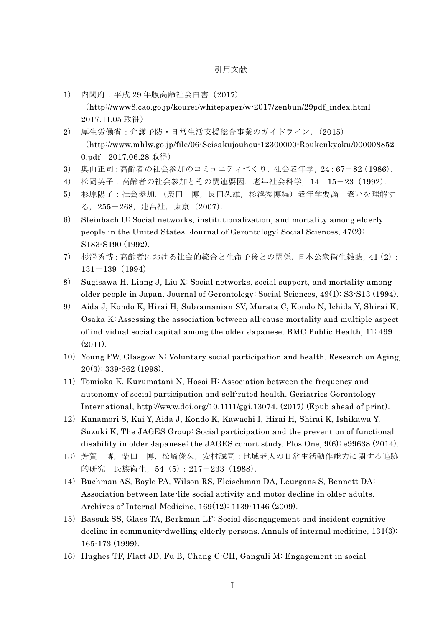## 引用文献

- 1) 内閣府:平成 29 年版高齢社会白書(2017) (http://www8.cao.go.jp/kourei/whitepaper/w-2017/zenbun/29pdf\_index.html 2017.11.05 取得)
- 2) 厚生労働省:介護予防・日常生活支援総合事業のガイドライン.(2015) (http://www.mhlw.go.jp/file/06-Seisakujouhou-12300000-Roukenkyoku/000008852 0.pdf 2017.06.28 取得)
- 3) 奥山正司:高齢者の社会参加のコミュニティづくり.社会老年学,24:67-82(1986).
- 4) 松岡英子:高齢者の社会参加とその関連要因.老年社会科学,14:15-23(1992).
- 5) 杉原陽子:社会参加.(柴田 博,長田久雄,杉澤秀博編)老年学要論-老いを理解す る,255-268,建帛社,東京(2007).
- 6) Steinbach U: Social networks, institutionalization, and mortality among elderly people in the United States. Journal of Gerontology: Social Sciences, 47(2): S183-S190 (1992).
- 7) 杉澤秀博:高齢者における社会的統合と生命予後との関係.日本公衆衛生雑誌,41(2):  $131-139(1994)$ .
- 8) Sugisawa H, Liang J, Liu X: Social networks, social support, and mortality among older people in Japan. Journal of Gerontology: Social Sciences, 49(1): S3-S13 (1994).
- 9) Aida J, Kondo K, Hirai H, Subramanian SV, Murata C, Kondo N, Ichida Y, Shirai K, Osaka K: Assessing the association between all-cause mortality and multiple aspect of individual social capital among the older Japanese. BMC Public Health, 11: 499 (2011).
- 10) Young FW, Glasgow N: Voluntary social participation and health. Research on Aging, 20(3): 339-362 (1998).
- 11) Tomioka K, Kurumatani N, Hosoi H: Association between the frequency and autonomy of social participation and self-rated health. Geriatrics Gerontology International, http://www.doi.org/10.1111/ggi.13074. (2017) (Epub ahead of print).
- 12) Kanamori S, Kai Y, Aida J, Kondo K, Kawachi I, Hirai H, Shirai K, Ishikawa Y, Suzuki K, The JAGES Group: Social participation and the prevention of functional disability in older Japanese: the JAGES cohort study. Plos One, 9(6): e99638 (2014).
- 13)芳賀 博,柴田 博,松崎俊久,安村誠司:地域老人の日常生活動作能力に関する追跡 的研究.民族衛生,54(5):217-233(1988).
- 14) Buchman AS, Boyle PA, Wilson RS, Fleischman DA, Leurgans S, Bennett DA: Association between late-life social activity and motor decline in older adults. Archives of Internal Medicine, 169(12): 1139-1146 (2009).
- 15) Bassuk SS, Glass TA, Berkman LF: Social disengagement and incident cognitive decline in community-dwelling elderly persons. Annals of internal medicine, 131(3): 165-173 (1999).
- 16) Hughes TF, Flatt JD, Fu B, Chang C<sup>-</sup>CH, Ganguli M: Engagement in social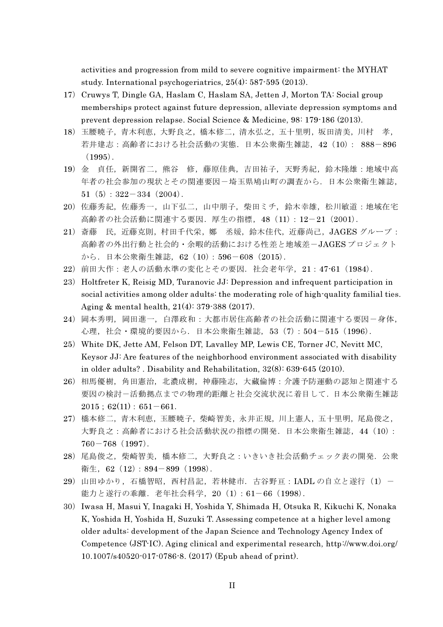activities and progression from mild to severe cognitive impairment: the MYHAT study. International psychogeriatrics, 25(4): 587-595 (2013).

- 17) Cruwys T, Dingle GA, Haslam C, Haslam SA, Jetten J, Morton TA: Social group memberships protect against future depression, alleviate depression symptoms and prevent depression relapse. Social Science & Medicine, 98: 179-186 (2013).
- 18)玉腰暁子,青木利恵,大野良之,橋本修二,清水弘之,五十里明,坂田清美,川村 孝, 若井建志:高齢者における社会活動の実態.日本公衆衛生雑誌,42(10): 888-896  $(1995)$ .
- 19)金 貞任,新開省二,熊谷 修,藤原佳典,吉田祐子,天野秀紀,鈴木隆雄:地域中高 年者の社会参加の現状とその関連要因-埼玉県鳩山町の調査から.日本公衆衛生雑誌, 51 $(5):322-334(2004)$ .
- 20)佐藤秀紀,佐藤秀一,山下弘二,山中朋子,柴田ミチ,鈴木幸雄,松川敏道:地域在宅 高齢者の社会活動に関連する要因.厚生の指標,48(11):12-21(2001).
- 21)斎藤 民,近藤克則,村田千代栄,鄭 丞媛,鈴木佳代,近藤尚己,JAGES グループ: 高齢者の外出行動と社会的·余暇的活動における性差と地域差-JAGESプロジェクト から.日本公衆衛生雑誌,62(10):596-608(2015).
- 22)前田大作:老人の活動水準の変化とその要因.社会老年学,21:47-61(1984).
- 23) Holtfreter K, Reisig MD, Turanovic JJ: Depression and infrequent participation in social activities among older adults: the moderating role of high-quality familial ties. Aging & mental health, 21(4): 379-388 (2017).
- 24) 岡本秀明, 岡田進一, 白澤政和: 大都市居住高齢者の社会活動に関連する要因一身体, 心理,社会・環境的要因から.日本公衆衛生雑誌,53(7):504-515(1996).
- 25) White DK, Jette AM, Felson DT, Lavalley MP, Lewis CE, Torner JC, Nevitt MC, Keysor JJ: Are features of the neighborhood environment associated with disability in older adults? . Disability and Rehabilitation, 32(8): 639-645 (2010).
- 26)相馬優樹,角田憲治,北濃成樹,神藤隆志,大藏倫博:介護予防運動の認知と関連する 要因の検討-活動拠点までの物理的距離と社会交流状況に着目して.日本公衆衛生雑誌  $2015$ ;  $62(11)$ :  $651-661$ .
- 27)橋本修二,青木利恵,玉腰暁子,柴崎智美,永井正規,川上憲人,五十里明,尾島俊之, 大野良之:高齢者における社会活動状況の指標の開発.日本公衆衛生雑誌,44(10):  $760-768$  (1997).
- 28)尾島俊之,柴崎智美,橋本修二,大野良之:いきいき社会活動チェック表の開発.公衆 衛生, 62 (12): 894-899 (1998).
- 29) 山田ゆかり, 石橋智昭, 西村昌記, 若林健市. 古谷野亘: IADL の自立と遂行 (1) -能力と遂行の乖離.老年社会科学,20(1):61-66(1998).
- 30)Iwasa H, Masui Y, Inagaki H, Yoshida Y, Shimada H, Otsuka R, Kikuchi K, Nonaka K, Yoshida H, Yoshida H, Suzuki T. Assessing competence at a higher level among older adults: development of the Japan Science and Technology Agency Index of Competence (JST-IC). Aging clinical and experimental research, http://www.doi.org/ 10.1007/s40520-017-0786-8. (2017) (Epub ahead of print).